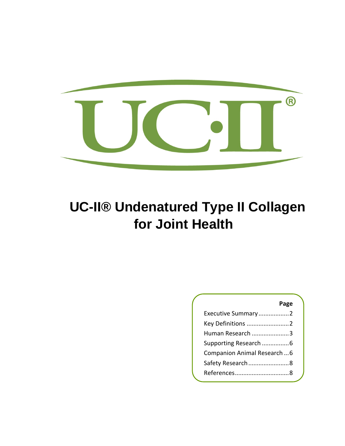

# **UC-II® Undenatured Type II Collagen for Joint Health**

### **Page**

| Executive Summary2         |
|----------------------------|
| Key Definitions 2          |
| Human Research 3           |
| Supporting Research 6      |
| Companion Animal Research6 |
| Safety Research 8          |
|                            |
|                            |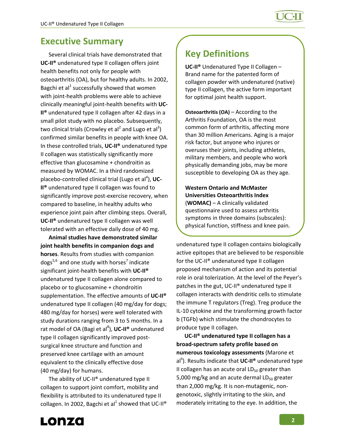### **Executive Summary**

Several clinical trials have demonstrated that **UC‐II®** undenatured type II collagen offers joint health benefits not only for people with osteoarthritis (OA), but for healthy adults. In 2002, Bagchi et al<sup>1</sup> successfully showed that women with joint-health problems were able to achieve clinically meaningful joint‐health benefits with **UC‐ II®** undenatured type II collagen after 42 days in a small pilot study with no placebo. Subsequently, two clinical trials (Crowley et al<sup>2</sup> and Lugo et al<sup>3</sup>) confirmed similar benefits in people with knee OA. In these controlled trials, **UC‐II®** undenatured type II collagen was statistically significantly more effective than glucosamine + chondroitin as measured by WOMAC. In a third randomized placebo-controlled clinical trial (Lugo et al<sup>4</sup>), UC-**II®** undenatured type II collagen was found to significantly improve post-exercise recovery, when compared to baseline, in healthy adults who experience joint pain after climbing steps. Overall, **UC‐II®** undenatured type II collagen was well tolerated with an effective daily dose of 40 mg.

**Animal studies have demonstrated similar joint health benefits in companion dogs and horses**. Results from studies with companion  $\text{dogs}^{5,6}$  and one study with horses<sup>7</sup> indicate significant joint‐health benefits with **UC‐II®** undenatured type II collagen alone compared to placebo or to glucosamine + chondroitin supplementation. The effective amounts of **UC‐II®** undenatured type II collagen (40 mg/day for dogs; 480 mg/day for horses) were well tolerated with study durations ranging from 3 to 5 months. In a rat model of OA (Bagi et al<sup>8</sup> ), **UC‐II®** undenatured type II collagen significantly improved post‐ surgical knee structure and function and preserved knee cartilage with an amount equivalent to the clinically effective dose (40 mg/day) for humans.

The ability of UC-II<sup>®</sup> undenatured type II collagen to support joint comfort, mobility and flexibility is attributed to its undenatured type II collagen. In 2002, Bagchi et al<sup>1</sup> showed that UC-II<sup>®</sup>

## **Key Definitions**

**UC‐II®** Undenatured Type II Collagen – Brand name for the patented form of collagen powder with undenatured (native) type II collagen, the active form important for optimal joint health support.

**Osteoarthritis (OA)** – According to the Arthritis Foundation, OA is the most common form of arthritis, affecting more than 30 million Americans. Aging is a major risk factor, but anyone who injures or overuses their joints, including athletes, military members, and people who work physically demanding jobs, may be more susceptible to developing OA as they age.

**Western Ontario and McMaster Universities Osteoarthritis Index** (**WOMAC)** – A clinically validated questionnaire used to assess arthritis symptoms in three domains (subscales): physical function, stiffness and knee pain.

undenatured type II collagen contains biologically active epitopes that are believed to be responsible for the UC‐II® undenatured type II collagen proposed mechanism of action and its potential role in oral tolerization. At the level of the Peyer's patches in the gut, UC‐II® undenatured type II collagen interacts with dendritic cells to stimulate the immune T regulators (Treg). Treg produce the IL‐10 cytokine and the transforming growth factor b (TGFb) which stimulate the chondrocytes to produce type II collagen.

**UC‐II® undenatured type II collagen has a broad‐spectrum safety profile based on numerous toxicology assessments** (Marone et al9 ). Results indicate that **UC‐II®** undenatured type II collagen has an acute oral  $LD_{50}$  greater than 5,000 mg/kg and an acute dermal  $LD_{50}$  greater than 2,000 mg/kg. It is non‐mutagenic, non‐ genotoxic, slightly irritating to the skin, and moderately irritating to the eye. In addition, the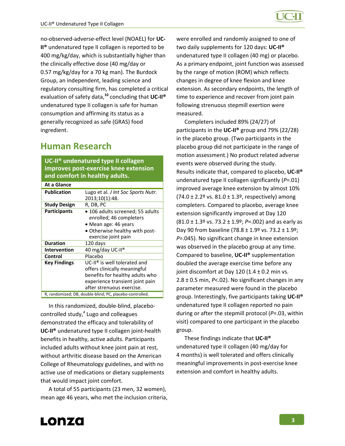no‐observed‐adverse‐effect level (NOAEL) for **UC‐ II®** undenatured type II collagen is reported to be 400 mg/kg/day, which is substantially higher than the clinically effective dose (40 mg/day or 0.57 mg/kg/day for a 70 kg man). The Burdock Group, an independent, leading science and regulatory consulting firm, has completed a critical evaluation of safety data,**<sup>10</sup>** concluding that **UC‐II®** undenatured type II collagen is safe for human consumption and affirming its status as a generally recognized as safe (GRAS) food ingredient.

## **Human Research**

**UC‐II® undenatured type II collagen improves post‐exercise knee extension and comfort in healthy adults.**

| At a Glance         |                                                                                                                                                                             |
|---------------------|-----------------------------------------------------------------------------------------------------------------------------------------------------------------------------|
| <b>Publication</b>  | Lugo et al. <i>J Int Soc Sports Nutr.</i><br>2013;10(1):48.                                                                                                                 |
| <b>Study Design</b> | R, DB, PC                                                                                                                                                                   |
| <b>Participants</b> | • 106 adults screened; 55 adults<br>enrolled; 46 completers<br>• Mean age: 46 years<br>• Otherwise healthy with post-<br>exercise joint pain                                |
| <b>Duration</b>     | 120 days                                                                                                                                                                    |
| Intervention        | 40 mg/day UC-II®                                                                                                                                                            |
| Control             | Placebo                                                                                                                                                                     |
| <b>Key Findings</b> | UC-II <sup>®</sup> is well tolerated and<br>offers clinically meaningful<br>benefits for healthy adults who<br>experience transient joint pain<br>after strenuous exercise. |
|                     | R, randomized; DB, double-blind; PC, placebo-controlled.                                                                                                                    |

In this randomized, double‐blind, placebo‐ controlled study, $4$  Lugo and colleagues demonstrated the efficacy and tolerability of **UC‐II®** undenatured type II collagen joint‐health benefits in healthy, active adults. Participants included adults without knee joint pain at rest, without arthritic disease based on the American College of Rheumatology guidelines, and with no active use of medications or dietary supplements that would impact joint comfort.

A total of 55 participants (23 men, 32 women), mean age 46 years, who met the inclusion criteria, were enrolled and randomly assigned to one of two daily supplements for 120 days: **UC‐II®** undenatured type II collagen (40 mg) or placebo. As a primary endpoint, joint function was assessed by the range of motion (ROM) which reflects changes in degree of knee flexion and knee extension. As secondary endpoints, the length of time to experience and recover from joint pain following strenuous stepmill exertion were measured.

Completers included 89% (24/27) of participants in the **UC‐II®** group and 79% (22/28) in the placebo group. (Two participants in the placebo group did not participate in the range of motion assessment.) No product related adverse events were observed during the study. Results indicate that, compared to placebo, **UC‐II®** undenatured type II collagen significantly (*P*=.01) improved average knee extension by almost 10%  $(74.0 \pm 2.2$ <sup>o</sup> vs. 81.0  $\pm$  1.3<sup>o</sup>, respectively) among completers. Compared to placebo, average knee extension significantly improved at Day 120 (81.0 ± 1.3º vs. 73.2 ± 1.9º; *P*=.002) and as early as Day 90 from baseline (78.8  $\pm$  1.9 $\textdegree$  vs. 73.2  $\pm$  1.9 $\textdegree$ ; *P*=.045). No significant change in knee extension was observed in the placebo group at any time. Compared to baseline, **UC‐II®** supplementation doubled the average exercise time before any joint discomfort at Day 120 (1.4  $\pm$  0.2 min vs. 2.8 ± 0.5 min, *P*<.02). No significant changes in any parameter measured were found in the placebo group. Interestingly, five participants taking **UC‐II®** undenatured type II collagen reported no pain during or after the stepmill protocol (*P*=.03, within visit) compared to one participant in the placebo group.

These findings indicate that **UC‐II®** undenatured type II collagen (40 mg/day for 4 months) is well tolerated and offers clinically meaningful improvements in post‐exercise knee extension and comfort in healthy adults.

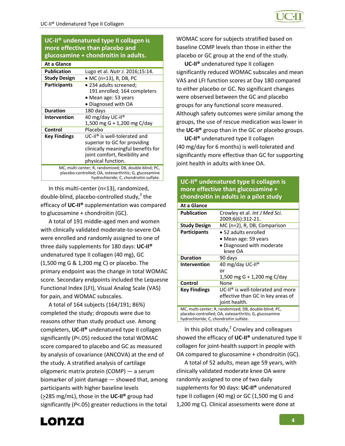**UC‐II® undenatured type II collagen is more effective than placebo and glucosamine + chondroitin in adults.**

| At a Glance                                                                                                                                                |                                    |
|------------------------------------------------------------------------------------------------------------------------------------------------------------|------------------------------------|
| <b>Publication</b>                                                                                                                                         | Lugo et al. Nutr J. 2016;15:14.    |
| <b>Study Design</b>                                                                                                                                        | • MC (n=13), R, DB, PC             |
| <b>Participants</b>                                                                                                                                        | • 234 adults screened;             |
|                                                                                                                                                            | 191 enrolled; 164 completers       |
|                                                                                                                                                            | • Mean age: 53 years               |
|                                                                                                                                                            | Diagnosed with OA                  |
| <b>Duration</b>                                                                                                                                            | 180 days                           |
| Intervention                                                                                                                                               | 40 mg/day UC-II®                   |
|                                                                                                                                                            | 1,500 mg G + 1,200 mg C/day        |
| Control                                                                                                                                                    | Placebo                            |
| <b>Key Findings</b>                                                                                                                                        | $UC-II®$ is well-tolerated and     |
|                                                                                                                                                            | superior to GC for providing       |
|                                                                                                                                                            | clinically meaningful benefits for |
|                                                                                                                                                            | joint comfort, flexibility and     |
|                                                                                                                                                            | physical function.                 |
| MC, multi-center; R, randomized; DB, double-blind; PC,<br>placebo-controlled; OA, osteoarthritis; G, glucosamine<br>hydrochloride; C, chondroitin sulfate. |                                    |

In this multi‐center (n=13), randomized, double-blind, placebo-controlled study, $3$  the efficacy of **UC‐II®** supplementation was compared to glucosamine + chondroitin (GC).

A total of 191 middle‐aged men and women with clinically validated moderate‐to‐severe OA were enrolled and randomly assigned to one of three daily supplements for 180 days: **UC‐II®** undenatured type II collagen (40 mg), GC (1,500 mg G & 1,200 mg C) or placebo. The primary endpoint was the change in total WOMAC score. Secondary endpoints included the Lequesne Functional Index (LFI), Visual Analog Scale (VAS) for pain, and WOMAC subscales.

A total of 164 subjects (164/191; 86%) completed the study; dropouts were due to reasons other than study product use. Among completers, **UC‐II®** undenatured type II collagen significantly (*P*<.05) reduced the total WOMAC score compared to placebo and GC as measured by analysis of covariance (ANCOVA) at the end of the study. A stratified analysis of cartilage oligomeric matrix protein (COMP) — a serum biomarker of joint damage — showed that, among participants with higher baseline levels (>285 mg/mL), those in the **UC‐II®** group had significantly (*P*<.05) greater reductions in the total

WOMAC score for subjects stratified based on baseline COMP levels than those in either the placebo or GC group at the end of the study.

**UC‐II®** undenatured type II collagen significantly reduced WOMAC subscales and mean VAS and LFI function scores at Day 180 compared to either placebo or GC. No significant changes were observed between the GC and placebo groups for any functional score measured. Although safety outcomes were similar among the groups, the use of rescue medication was lower in the **UC‐II®** group than in the GC or placebo groups.

**UC‐II®** undenatured type II collagen (40 mg/day for 6 months) is well‐tolerated and significantly more effective than GC for supporting joint health in adults with knee OA.

### **UC‐II® undenatured type II collagen is more effective than glucosamine + chondroitin in adults in a pilot study**

| At a Glance                                                                                                                                                |                                                    |
|------------------------------------------------------------------------------------------------------------------------------------------------------------|----------------------------------------------------|
| <b>Publication</b>                                                                                                                                         | Crowley et al. Int J Med Sci.<br>2009;6(6):312-21. |
| <b>Study Design</b>                                                                                                                                        | MC (n=2), R, DB, Comparison                        |
| <b>Participants</b>                                                                                                                                        | • 52 adults enrolled                               |
|                                                                                                                                                            | • Mean age: 59 years                               |
|                                                                                                                                                            | • Diagnosed with moderate                          |
|                                                                                                                                                            | knee OA                                            |
| <b>Duration</b>                                                                                                                                            | 90 days                                            |
| Intervention                                                                                                                                               | 40 mg/day UC-II <sup>®</sup>                       |
|                                                                                                                                                            | or                                                 |
|                                                                                                                                                            | 1,500 mg G + 1,200 mg C/day                        |
| Control                                                                                                                                                    | None                                               |
| Key Findings                                                                                                                                               | $UC-II®$ is well-tolerated and more                |
|                                                                                                                                                            | effective than GC in key areas of                  |
|                                                                                                                                                            | joint health.                                      |
| MC, multi-center; R, randomized; DB, double-blind; PC,<br>placebo-controlled; OA, osteoarthritis; G, glucosamine<br>hydrochloride; C, chondroitin sulfate. |                                                    |

In this pilot study, $^2$  Crowley and colleagues showed the efficacy of **UC‐II®** undenatured type II collagen for joint‐health support in people with OA compared to glucosamine + chondroitin (GC).

A total of 52 adults, mean age 59 years, with clinically validated moderate knee OA were randomly assigned to one of two daily supplements for 90 days: **UC‐II®** undenatured type II collagen (40 mg) or GC (1,500 mg G and 1,200 mg C). Clinical assessments were done at

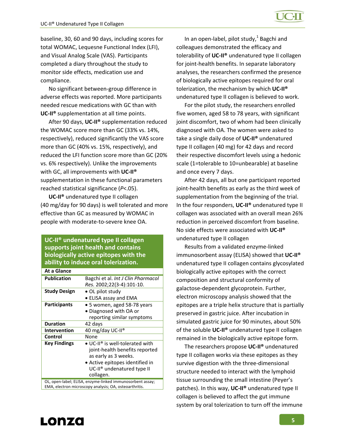baseline, 30, 60 and 90 days, including scores for total WOMAC, Lequesne Functional Index (LFI), and Visual Analog Scale (VAS). Participants completed a diary throughout the study to monitor side effects, medication use and compliance.

No significant between‐group difference in adverse effects was reported. More participants needed rescue medications with GC than with **UC‐II®** supplementation at all time points.

After 90 days, **UC‐II®** supplementation reduced the WOMAC score more than GC (33% vs. 14%, respectively), reduced significantly the VAS score more than GC (40% vs. 15%, respectively), and reduced the LFI function score more than GC (20% vs. 6% respectively). Unlike the improvements with GC, all improvements with **UC‐II®** supplementation in these functional parameters reached statistical significance (*P*<.05).

**UC‐II®** undenatured type II collagen (40 mg/day for 90 days) is well tolerated and more effective than GC as measured by WOMAC in people with moderate‐to‐severe knee OA.

#### **UC‐II® undenatured type II collagen supports joint health and contains biologically active epitopes with the ability to induce oral tolerization.**

| At a Glance                                                                                                         |                                                                                                                                                                                    |
|---------------------------------------------------------------------------------------------------------------------|------------------------------------------------------------------------------------------------------------------------------------------------------------------------------------|
| <b>Publication</b>                                                                                                  | Bagchi et al. Int J Clin Pharmacol                                                                                                                                                 |
|                                                                                                                     | Res. 2002;22(3-4):101-10.                                                                                                                                                          |
| <b>Study Design</b>                                                                                                 | $\bullet$ OL pilot study                                                                                                                                                           |
|                                                                                                                     | • ELISA assay and EMA                                                                                                                                                              |
| <b>Participants</b>                                                                                                 | • 5 women, aged 58-78 years                                                                                                                                                        |
|                                                                                                                     | • Diagnosed with OA or                                                                                                                                                             |
|                                                                                                                     | reporting similar symptoms                                                                                                                                                         |
| <b>Duration</b>                                                                                                     | 42 days                                                                                                                                                                            |
| Intervention                                                                                                        | 40 mg/day UC-II <sup>®</sup>                                                                                                                                                       |
| Control                                                                                                             | None                                                                                                                                                                               |
| <b>Key Findings</b>                                                                                                 | • UC-II <sup>®</sup> is well-tolerated with<br>joint-health benefits reported<br>as early as 3 weeks.<br>• Active epitopes identified in<br>UC-II <sup>®</sup> undenatured type II |
|                                                                                                                     | collagen.                                                                                                                                                                          |
| OL, open-label; ELISA, enzyme-linked immunosorbent assay;<br>EMA, electron microscopy analysis; OA, osteoarthritis. |                                                                                                                                                                                    |

In an open-label, pilot study, $1$  Bagchi and colleagues demonstrated the efficacy and tolerability of **UC‐II®** undenatured type II collagen for joint-health benefits. In separate laboratory analyses, the researchers confirmed the presence of biologically active epitopes required for oral tolerization, the mechanism by which **UC‐II®** undenatured type II collagen is believed to work.

For the pilot study, the researchers enrolled five women, aged 58 to 78 years, with significant joint discomfort, two of whom had been clinically diagnosed with OA. The women were asked to take a single daily dose of **UC‐II®** undenatured type II collagen (40 mg) for 42 days and record their respective discomfort levels using a hedonic scale (1=tolerable to 10=unbearable) at baseline and once every 7 days.

After 42 days, all but one participant reported joint-health benefits as early as the third week of supplementation from the beginning of the trial. In the four responders, **UC‐II®** undenatured type II collagen was associated with an overall mean 26% reduction in perceived discomfort from baseline. No side effects were associated with **UC‐II®** undenatured type II collagen

Results from a validated enzyme‐linked immunosorbent assay (ELISA) showed that **UC‐II®** undenatured type II collagen contains glycosylated biologically active epitopes with the correct composition and structural conformity of galactose‐dependent glycoprotein. Further, electron microscopy analysis showed that the epitopes are a triple helix structure that is partially preserved in gastric juice. After incubation in simulated gastric juice for 90 minutes, about 50% of the soluble **UC‐II®** undenatured type II collagen remained in the biologically active epitope form.

The researchers propose **UC‐II®** undenatured type II collagen works via these epitopes as they survive digestion with the three‐dimensional structure needed to interact with the lymphoid tissue surrounding the small intestine (Peyer's patches). In this way, **UC‐II®** undenatured type II collagen is believed to affect the gut immune system by oral tolerization to turn off the immune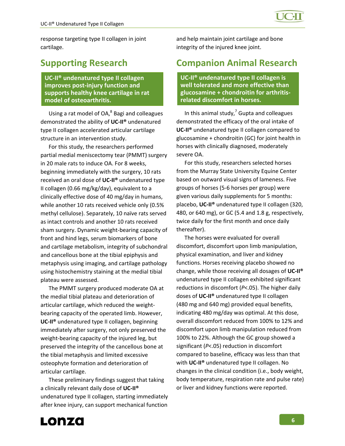response targeting type II collagen in joint cartilage.

### **Supporting Research**

**UC‐II® undenatured type II collagen improves post‐injury function and supports healthy knee cartilage in rat model of osteoarthritis.**

Using a rat model of  $OA<sup>8</sup>$  Bagi and colleagues demonstrated the ability of **UC‐II®** undenatured type II collagen accelerated articular cartilage structure in an intervention study.

For this study, the researchers performed partial medial meniscectomy tear (PMMT) surgery in 20 male rats to induce OA. For 8 weeks, beginning immediately with the surgery, 10 rats received an oral dose of **UC‐II®** undenatured type II collagen (0.66 mg/kg/day), equivalent to a clinically effective dose of 40 mg/day in humans, while another 10 rats received vehicle only (0.5% methyl cellulose). Separately, 10 naïve rats served as intact controls and another 10 rats received sham surgery. Dynamic weight‐bearing capacity of front and hind legs, serum biomarkers of bone and cartilage metabolism, integrity of subchondral and cancellous bone at the tibial epiphysis and metaphysis using imaging, and cartilage pathology using histochemistry staining at the medial tibial plateau were assessed.

The PMMT surgery produced moderate OA at the medial tibial plateau and deterioration of articular cartilage, which reduced the weight‐ bearing capacity of the operated limb. However, **UC‐II®** undenatured type II collagen, beginning immediately after surgery, not only preserved the weight‐bearing capacity of the injured leg, but preserved the integrity of the cancellous bone at the tibial metaphysis and limited excessive osteophyte formation and deterioration of articular cartilage.

These preliminary findings suggest that taking a clinically relevant daily dose of **UC‐II®** undenatured type II collagen, starting immediately after knee injury, can support mechanical function

and help maintain joint cartilage and bone integrity of the injured knee joint.

### **Companion Animal Research**

**UC‐II® undenatured type II collagen is well tolerated and more effective than glucosamine + chondroitin for arthritis‐ related discomfort in horses.**

In this animal study, $^7$  Gupta and colleagues demonstrated the efficacy of the oral intake of **UC‐II®** undenatured type II collagen compared to glucosamine + chondroitin (GC) for joint health in horses with clinically diagnosed, moderately severe OA.

For this study, researchers selected horses from the Murray State University Equine Center based on outward visual signs of lameness. Five groups of horses (5‐6 horses per group) were given various daily supplements for 5 months: placebo, **UC‐II®** undenatured type II collagen (320, 480, or 640 mg), or GC (5.4 and 1.8 g, respectively, twice daily for the first month and once daily thereafter).

The horses were evaluated for overall discomfort, discomfort upon limb manipulation, physical examination, and liver and kidney functions. Horses receiving placebo showed no change, while those receiving all dosages of **UC‐II®** undenatured type II collagen exhibited significant reductions in discomfort (*P*<.05). The higher daily doses of **UC‐II®** undenatured type II collagen (480 mg and 640 mg) provided equal benefits, indicating 480 mg/day was optimal. At this dose, overall discomfort reduced from 100% to 12% and discomfort upon limb manipulation reduced from 100% to 22%. Although the GC group showed a significant (*P*<.05) reduction in discomfort compared to baseline, efficacy was less than that with **UC‐II®** undenatured type II collagen. No changes in the clinical condition (i.e., body weight, body temperature, respiration rate and pulse rate) or liver and kidney functions were reported.

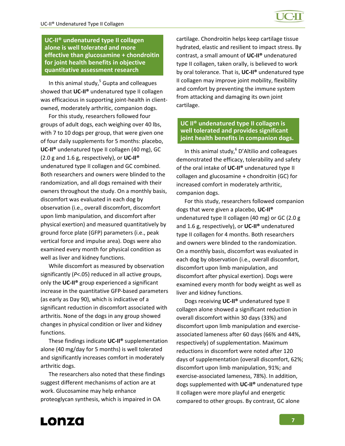**UC‐II® undenatured type II collagen alone is well tolerated and more effective than glucosamine + chondroitin for joint health benefits in objective quantitative assessment research**

In this animal study, $5$  Gupta and colleagues showed that **UC‐II®** undenatured type II collagen was efficacious in supporting joint‐health in client‐ owned, moderately arthritic, companion dogs.

For this study, researchers followed four groups of adult dogs, each weighing over 40 lbs, with 7 to 10 dogs per group, that were given one of four daily supplements for 5 months: placebo, **UC‐II®** undenatured type II collagen (40 mg), GC (2.0 g and 1.6 g, respectively), or **UC‐II®** undenatured type II collagen and GC combined. Both researchers and owners were blinded to the randomization, and all dogs remained with their owners throughout the study. On a monthly basis, discomfort was evaluated in each dog by observation (i.e., overall discomfort, discomfort upon limb manipulation, and discomfort after physical exertion) and measured quantitatively by ground force plate (GFP) parameters (i.e., peak vertical force and impulse area). Dogs were also examined every month for physical condition as well as liver and kidney functions.

While discomfort as measured by observation significantly (*P*<.05) reduced in all active groups, only the **UC‐II®** group experienced a significant increase in the quantitative GFP‐based parameters (as early as Day 90), which is indicative of a significant reduction in discomfort associated with arthritis. None of the dogs in any group showed changes in physical condition or liver and kidney functions.

These findings indicate **UC‐II®** supplementation alone (40 mg/day for 5 months) is well tolerated and significantly increases comfort in moderately arthritic dogs.

The researchers also noted that these findings suggest different mechanisms of action are at work. Glucosamine may help enhance proteoglycan synthesis, which is impaired in OA

cartilage. Chondroitin helps keep cartilage tissue hydrated, elastic and resilient to impact stress. By contrast, a small amount of **UC‐II®** undenatured type II collagen, taken orally, is believed to work by oral tolerance. That is, **UC‐II®** undenatured type II collagen may improve joint mobility, flexibility and comfort by preventing the immune system from attacking and damaging its own joint cartilage.

#### **UC II® undenatured type II collagen is well tolerated and provides significant joint health benefits in companion dogs.**

In this animal study, $6$  D'Altilio and colleagues demonstrated the efficacy, tolerability and safety of the oral intake of **UC‐II®** undenatured type II collagen and glucosamine + chondroitin (GC) for increased comfort in moderately arthritic, companion dogs.

For this study, researchers followed companion dogs that were given a placebo, **UC‐II®** undenatured type II collagen (40 mg) or GC (2.0 g and 1.6 g, respectively), or **UC‐II®** undenatured type II collagen for 4 months. Both researchers and owners were blinded to the randomization. On a monthly basis, discomfort was evaluated in each dog by observation (i.e., overall discomfort, discomfort upon limb manipulation, and discomfort after physical exertion). Dogs were examined every month for body weight as well as liver and kidney functions.

Dogs receiving **UC‐II®** undenatured type II collagen alone showed a significant reduction in overall discomfort within 30 days (33%) and discomfort upon limb manipulation and exercise‐ associated lameness after 60 days (66% and 44%, respectively) of supplementation. Maximum reductions in discomfort were noted after 120 days of supplementation (overall discomfort, 62%; discomfort upon limb manipulation, 91%; and exercise‐associated lameness, 78%). In addition, dogs supplemented with **UC‐II®** undenatured type II collagen were more playful and energetic compared to other groups. By contrast, GC alone

Lonza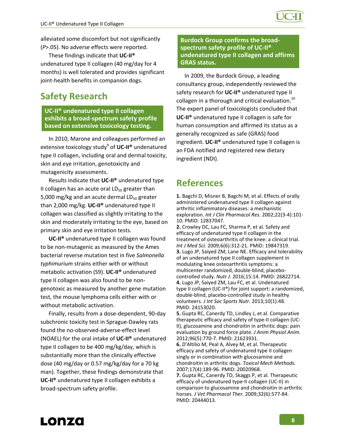alleviated some discomfort but not significantly (*P*>.05). No adverse effects were reported.

These findings indicate that **UC‐II®** undenatured type II collagen (40 mg/day for 4 months) is well tolerated and provides significant joint-health benefits in companion dogs.

### **Safety Research**

#### **UC‐II® undenatured type II collagen exhibits a broad‐spectrum safety profile based on extensive toxicology testing.**

In 2010, Marone and colleagues performed an extensive toxicology study<sup>9</sup> of **UC‐II®** undenatured type II collagen, including oral and dermal toxicity, skin and eye irritation, genotoxicity and mutagenicity assessments.

Results indicate that **UC‐II®** undenatured type II collagen has an acute oral  $LD_{50}$  greater than 5,000 mg/kg and an acute dermal  $LD_{50}$  greater than 2,000 mg/kg. **UC‐II®** undenatured type II collagen was classified as slightly irritating to the skin and moderately irritating to the eye, based on primary skin and eye irritation tests.

**UC‐II®** undenatured type II collagen was found to be non‐mutagenic as measured by the Ames bacterial reverse mutation test in five *Salmonella typhimurium* strains either with or without metabolic activation (S9). **UC‐II®** undenatured type II collagen was also found to be non‐ genotoxic as measured by another gene mutation test, the mouse lymphoma cells either with or without metabolic activation.

Finally, results from a dose‐dependent, 90‐day subchronic toxicity test in Sprague‐Dawley rats found the no‐observed‐adverse‐effect level (NOAEL) for the oral intake of **UC‐II®** undenatured type II collagen to be 400 mg/kg/day, which is substantially more than the clinically effective dose (40 mg/day or 0.57 mg/kg/day for a 70 kg man). Together, these findings demonstrate that **UC‐II®** undenatured type II collagen exhibits a broad‐spectrum safety profile.

#### **Burdock Group confirms the broad‐ spectrum safety profile of UC‐II® undenatured type II collagen and affirms GRAS status.**

In 2009, the Burdock Group, a leading consultancy group, independently reviewed the safety research for **UC‐II®** undenatured type II collagen in a thorough and critical evaluation. $^{10}$ The expert panel of toxicologists concluded that **UC‐II®** undenatured type II collagen is safe for human consumption and affirmed its status as a generally recognized as safe (GRAS) food ingredient. **UC‐II®** undenatured type II collagen is an FDA notified and registered new dietary ingredient (NDI).

## **References**

**1.** Bagchi D, Misner B, Bagchi M, et al. Effects of orally administered undenatured type II collagen against arthritic inflammatory diseases: a mechanistic exploration. *Int J Clin Pharmacol Res.* 2002;22(3‐4):101‐ 10. PMID: 12837047.

**2.** Crowley DC, Lau FC, Sharma P, et al. Safety and efficacy of undenatured type II collagen in the treatment of osteoarthritis of the knee: a clinical trial. *Int J Med Sci.* 2009;6(6):312‐21. PMID: 19847319. **3.** Lugo JP, Saiyed ZM, Lane NE. Efficacy and tolerability of an undenatured type II collagen supplement in modulating knee osteoarthritis symptoms: a multicenter randomized, double‐blind, placebo‐ controlled study. *Nutr J.* 2016;15:14. PMID: 26822714. **4.** Lugo JP, Saiyed ZM, Lau FC, et al. Undenatured type II collagen (UC‐II®) for joint support: a randomized, double‐blind, placebo‐controlled study in healthy volunteers. *J Int Soc Sports Nutr.* 2013;10(1):48. PMID: 24153020.

**5.** Gupta RC, Canerdy TD, Lindley J, et al. Comparative therapeutic efficacy and safety of type‐II collagen (UC‐ II), glucosamine and chondroitin in arthritic dogs: pain evaluation by ground force plate. *J Anim Physiol Anim.* 2012;96(5):770‐7. PMID: 21623931.

**6.** D'Altilio M, Peal A, Alvey M, et al. Therapeutic efficacy and safety of undenatured type II collagen singly or in combination with glucosamine and chondroitin in arthritic dogs. *Toxicol Mech Methods.* 2007;17(4):189‐96. PMID: 20020968.

**7.** Gupta RC, Canerdy TD, Skaggs P, et al. Therapeutic efficacy of undenatured type‐II collagen (UC‐II) in comparison to glucosamine and chondroitin in arthritic horses. *J Vet Pharmacol Ther.* 2009;32(6):577‐84. PMID: 20444013.

![](_page_7_Picture_18.jpeg)